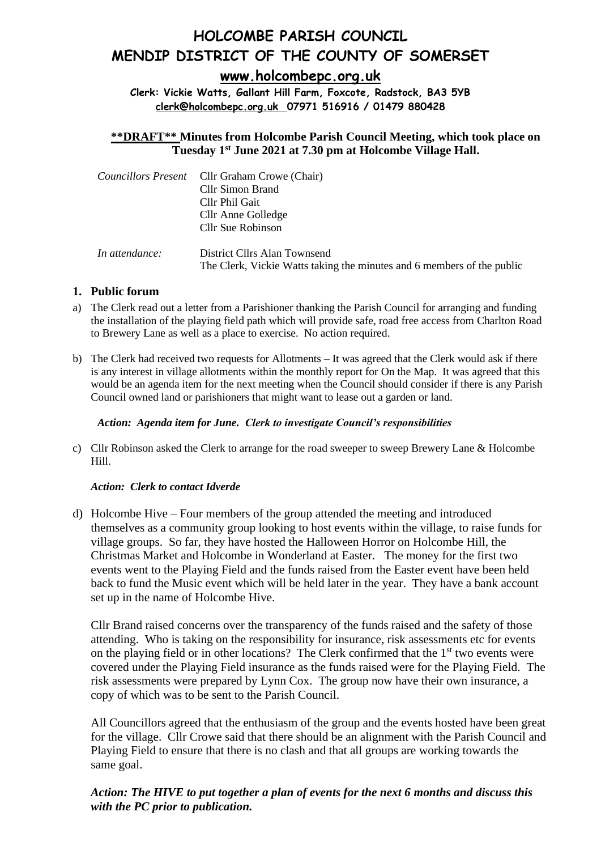# **HOLCOMBE PARISH COUNCIL MENDIP DISTRICT OF THE COUNTY OF SOMERSET**

**[www.holcombepc.org.uk](http://www.holcombepc.org.uk/)**

**Clerk: Vickie Watts, Gallant Hill Farm, Foxcote, Radstock, BA3 5YB [clerk@holcombepc.org.uk](mailto:victoriawatts@orange.net) 07971 516916 / 01479 880428**

**\*\*DRAFT\*\* Minutes from Holcombe Parish Council Meeting, which took place on Tuesday 1st June 2021 at 7.30 pm at Holcombe Village Hall.** 

|                | <i>Councillors Present</i> Cllr Graham Crowe (Chair)<br><b>Cllr Simon Brand</b><br>Cllr Phil Gait<br>Cllr Anne Golledge<br>Cllr Sue Robinson |
|----------------|----------------------------------------------------------------------------------------------------------------------------------------------|
| In attendance: | District Cllrs Alan Townsend<br>The Clerk, Vickie Watts taking the minutes and 6 members of the public                                       |

# **1. Public forum**

- a) The Clerk read out a letter from a Parishioner thanking the Parish Council for arranging and funding the installation of the playing field path which will provide safe, road free access from Charlton Road to Brewery Lane as well as a place to exercise. No action required.
- b) The Clerk had received two requests for Allotments It was agreed that the Clerk would ask if there is any interest in village allotments within the monthly report for On the Map. It was agreed that this would be an agenda item for the next meeting when the Council should consider if there is any Parish Council owned land or parishioners that might want to lease out a garden or land.

#### *Action: Agenda item for June. Clerk to investigate Council's responsibilities*

c) Cllr Robinson asked the Clerk to arrange for the road sweeper to sweep Brewery Lane & Holcombe Hill.

# *Action: Clerk to contact Idverde*

d) Holcombe Hive – Four members of the group attended the meeting and introduced themselves as a community group looking to host events within the village, to raise funds for village groups. So far, they have hosted the Halloween Horror on Holcombe Hill, the Christmas Market and Holcombe in Wonderland at Easter. The money for the first two events went to the Playing Field and the funds raised from the Easter event have been held back to fund the Music event which will be held later in the year. They have a bank account set up in the name of Holcombe Hive.

Cllr Brand raised concerns over the transparency of the funds raised and the safety of those attending. Who is taking on the responsibility for insurance, risk assessments etc for events on the playing field or in other locations? The Clerk confirmed that the  $1<sup>st</sup>$  two events were covered under the Playing Field insurance as the funds raised were for the Playing Field. The risk assessments were prepared by Lynn Cox. The group now have their own insurance, a copy of which was to be sent to the Parish Council.

All Councillors agreed that the enthusiasm of the group and the events hosted have been great for the village. Cllr Crowe said that there should be an alignment with the Parish Council and Playing Field to ensure that there is no clash and that all groups are working towards the same goal.

*Action: The HIVE to put together a plan of events for the next 6 months and discuss this with the PC prior to publication.*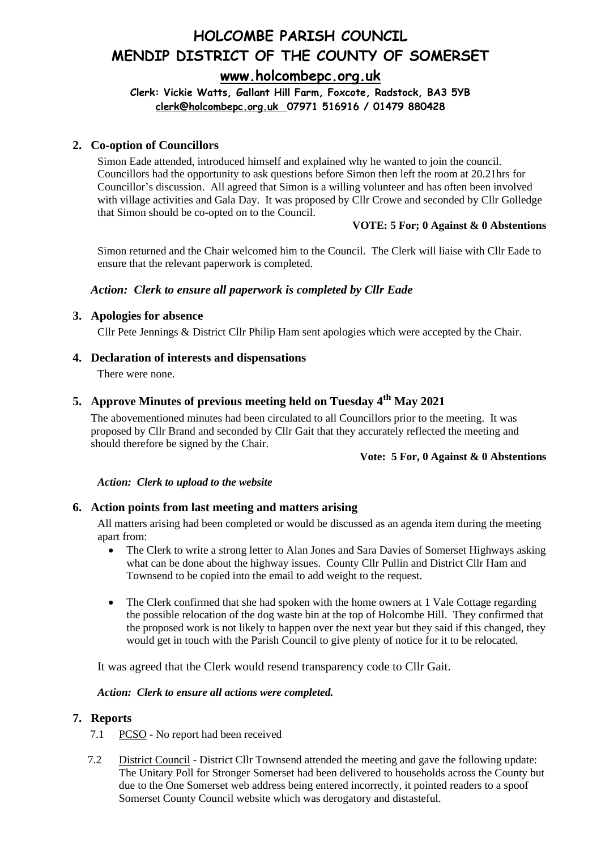**Clerk: Vickie Watts, Gallant Hill Farm, Foxcote, Radstock, BA3 5YB [clerk@holcombepc.org.uk](mailto:victoriawatts@orange.net) 07971 516916 / 01479 880428**

# **2. Co-option of Councillors**

Simon Eade attended, introduced himself and explained why he wanted to join the council. Councillors had the opportunity to ask questions before Simon then left the room at 20.21hrs for Councillor's discussion. All agreed that Simon is a willing volunteer and has often been involved with village activities and Gala Day. It was proposed by Cllr Crowe and seconded by Cllr Golledge that Simon should be co-opted on to the Council.

#### **VOTE: 5 For; 0 Against & 0 Abstentions**

Simon returned and the Chair welcomed him to the Council. The Clerk will liaise with Cllr Eade to ensure that the relevant paperwork is completed.

# *Action: Clerk to ensure all paperwork is completed by Cllr Eade*

#### **3. Apologies for absence**

Cllr Pete Jennings & District Cllr Philip Ham sent apologies which were accepted by the Chair.

# **4. Declaration of interests and dispensations**

There were none.

# **5. Approve Minutes of previous meeting held on Tuesday 4th May 2021**

The abovementioned minutes had been circulated to all Councillors prior to the meeting. It was proposed by Cllr Brand and seconded by Cllr Gait that they accurately reflected the meeting and should therefore be signed by the Chair.

#### **Vote: 5 For, 0 Against & 0 Abstentions**

#### *Action: Clerk to upload to the website*

# **6. Action points from last meeting and matters arising**

All matters arising had been completed or would be discussed as an agenda item during the meeting apart from:

- The Clerk to write a strong letter to Alan Jones and Sara Davies of Somerset Highways asking what can be done about the highway issues. County Cllr Pullin and District Cllr Ham and Townsend to be copied into the email to add weight to the request.
- The Clerk confirmed that she had spoken with the home owners at 1 Vale Cottage regarding the possible relocation of the dog waste bin at the top of Holcombe Hill. They confirmed that the proposed work is not likely to happen over the next year but they said if this changed, they would get in touch with the Parish Council to give plenty of notice for it to be relocated.

It was agreed that the Clerk would resend transparency code to Cllr Gait.

#### *Action: Clerk to ensure all actions were completed.*

# **7. Reports**

- 7.1 PCSO No report had been received
- 7.2 District Council District Cllr Townsend attended the meeting and gave the following update: The Unitary Poll for Stronger Somerset had been delivered to households across the County but due to the One Somerset web address being entered incorrectly, it pointed readers to a spoof Somerset County Council website which was derogatory and distasteful.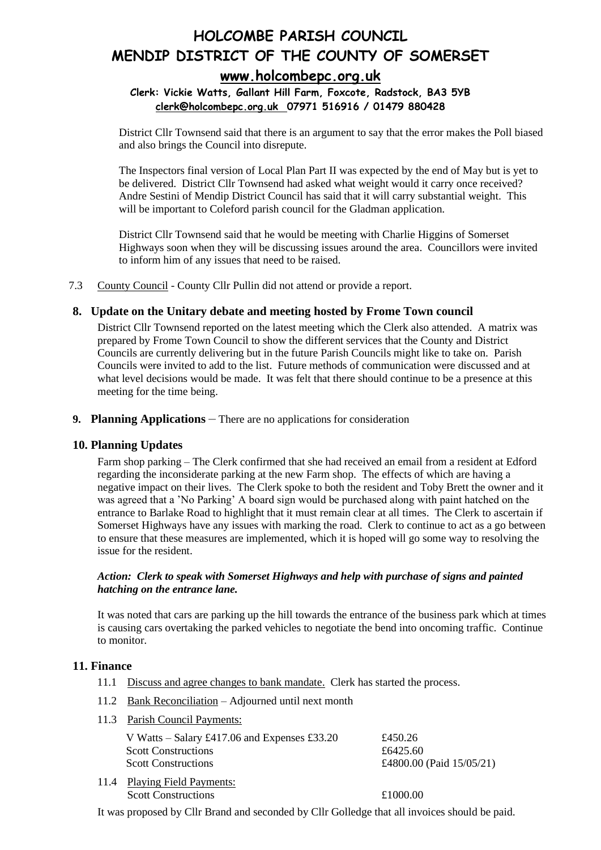# **Clerk: Vickie Watts, Gallant Hill Farm, Foxcote, Radstock, BA3 5YB [clerk@holcombepc.org.uk](mailto:victoriawatts@orange.net) 07971 516916 / 01479 880428**

District Cllr Townsend said that there is an argument to say that the error makes the Poll biased and also brings the Council into disrepute.

The Inspectors final version of Local Plan Part II was expected by the end of May but is yet to be delivered. District Cllr Townsend had asked what weight would it carry once received? Andre Sestini of Mendip District Council has said that it will carry substantial weight. This will be important to Coleford parish council for the Gladman application.

District Cllr Townsend said that he would be meeting with Charlie Higgins of Somerset Highways soon when they will be discussing issues around the area. Councillors were invited to inform him of any issues that need to be raised.

7.3 County Council - County Cllr Pullin did not attend or provide a report.

# **8. Update on the Unitary debate and meeting hosted by Frome Town council**

District Cllr Townsend reported on the latest meeting which the Clerk also attended. A matrix was prepared by Frome Town Council to show the different services that the County and District Councils are currently delivering but in the future Parish Councils might like to take on. Parish Councils were invited to add to the list. Future methods of communication were discussed and at what level decisions would be made. It was felt that there should continue to be a presence at this meeting for the time being.

#### **9. Planning Applications** – There are no applications for consideration

# **10. Planning Updates**

Farm shop parking – The Clerk confirmed that she had received an email from a resident at Edford regarding the inconsiderate parking at the new Farm shop. The effects of which are having a negative impact on their lives. The Clerk spoke to both the resident and Toby Brett the owner and it was agreed that a 'No Parking' A board sign would be purchased along with paint hatched on the entrance to Barlake Road to highlight that it must remain clear at all times. The Clerk to ascertain if Somerset Highways have any issues with marking the road. Clerk to continue to act as a go between to ensure that these measures are implemented, which it is hoped will go some way to resolving the issue for the resident.

#### *Action: Clerk to speak with Somerset Highways and help with purchase of signs and painted hatching on the entrance lane.*

It was noted that cars are parking up the hill towards the entrance of the business park which at times is causing cars overtaking the parked vehicles to negotiate the bend into oncoming traffic. Continue to monitor.

# **11. Finance**

- 11.1 Discuss and agree changes to bank mandate. Clerk has started the process.
- 11.2 Bank Reconciliation Adjourned until next month
- 11.3 Parish Council Payments:

| V Watts – Salary £417.06 and Expenses £33.20<br><b>Scott Constructions</b><br><b>Scott Constructions</b> | £450.26<br>£6425.60<br>£4800.00 (Paid $15/05/21$ ) |
|----------------------------------------------------------------------------------------------------------|----------------------------------------------------|
| 11.4 Playing Field Payments:<br><b>Scott Constructions</b>                                               | £1000.00                                           |

It was proposed by Cllr Brand and seconded by Cllr Golledge that all invoices should be paid.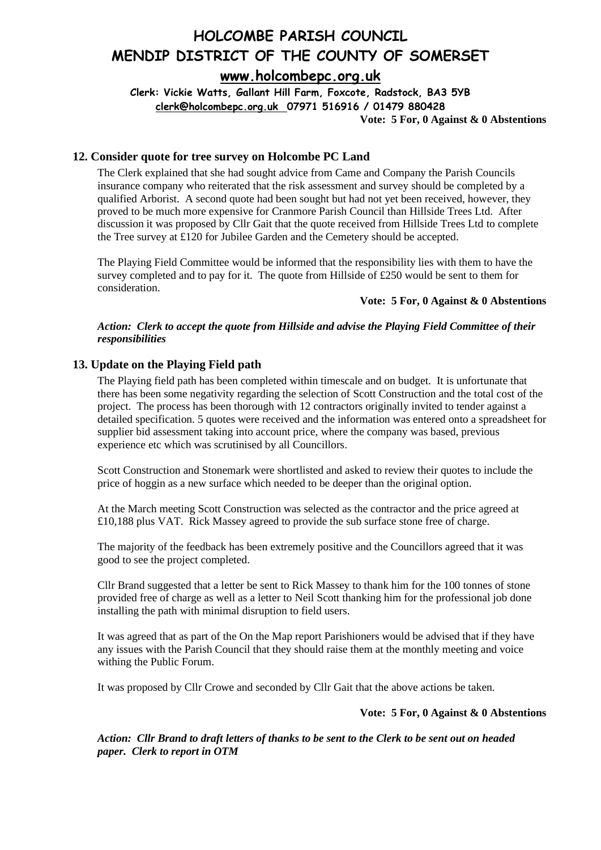**Clerk: Vickie Watts, Gallant Hill Farm, Foxcote, Radstock, BA3 5YB [clerk@holcombepc.org.uk](mailto:victoriawatts@orange.net) 07971 516916 / 01479 880428**

**Vote: 5 For, 0 Against & 0 Abstentions**

# **12. Consider quote for tree survey on Holcombe PC Land**

The Clerk explained that she had sought advice from Came and Company the Parish Councils insurance company who reiterated that the risk assessment and survey should be completed by a qualified Arborist. A second quote had been sought but had not yet been received, however, they proved to be much more expensive for Cranmore Parish Council than Hillside Trees Ltd. After discussion it was proposed by Cllr Gait that the quote received from Hillside Trees Ltd to complete the Tree survey at £120 for Jubilee Garden and the Cemetery should be accepted.

The Playing Field Committee would be informed that the responsibility lies with them to have the survey completed and to pay for it. The quote from Hillside of £250 would be sent to them for consideration.

#### **Vote: 5 For, 0 Against & 0 Abstentions**

#### *Action: Clerk to accept the quote from Hillside and advise the Playing Field Committee of their responsibilities*

#### **13. Update on the Playing Field path**

The Playing field path has been completed within timescale and on budget. It is unfortunate that there has been some negativity regarding the selection of Scott Construction and the total cost of the project. The process has been thorough with 12 contractors originally invited to tender against a detailed specification. 5 quotes were received and the information was entered onto a spreadsheet for supplier bid assessment taking into account price, where the company was based, previous experience etc which was scrutinised by all Councillors.

Scott Construction and Stonemark were shortlisted and asked to review their quotes to include the price of hoggin as a new surface which needed to be deeper than the original option.

At the March meeting Scott Construction was selected as the contractor and the price agreed at £10,188 plus VAT. Rick Massey agreed to provide the sub surface stone free of charge.

The majority of the feedback has been extremely positive and the Councillors agreed that it was good to see the project completed.

Cllr Brand suggested that a letter be sent to Rick Massey to thank him for the 100 tonnes of stone provided free of charge as well as a letter to Neil Scott thanking him for the professional job done installing the path with minimal disruption to field users.

It was agreed that as part of the On the Map report Parishioners would be advised that if they have any issues with the Parish Council that they should raise them at the monthly meeting and voice withing the Public Forum.

It was proposed by Cllr Crowe and seconded by Cllr Gait that the above actions be taken.

#### **Vote: 5 For, 0 Against & 0 Abstentions**

*Action: Cllr Brand to draft letters of thanks to be sent to the Clerk to be sent out on headed paper. Clerk to report in OTM*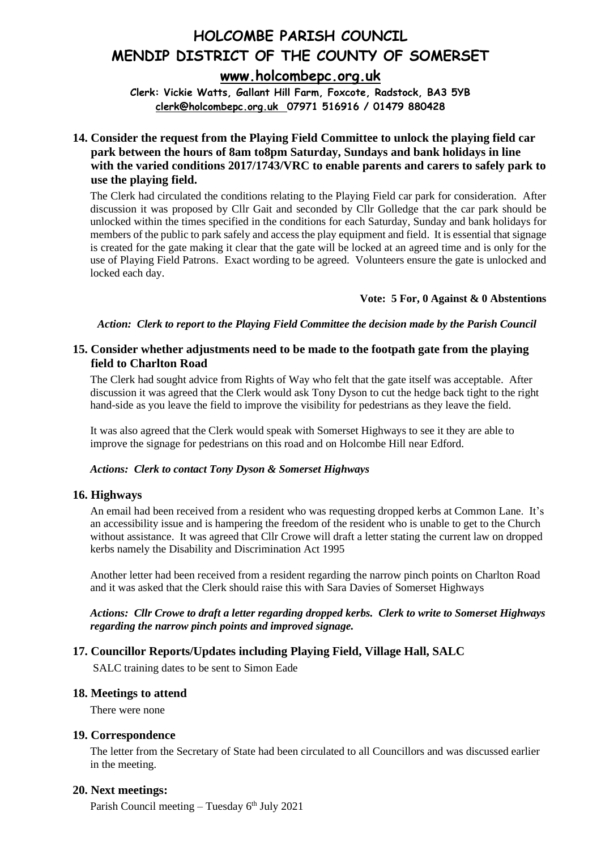**Clerk: Vickie Watts, Gallant Hill Farm, Foxcote, Radstock, BA3 5YB [clerk@holcombepc.org.uk](mailto:victoriawatts@orange.net) 07971 516916 / 01479 880428**

# **14. Consider the request from the Playing Field Committee to unlock the playing field car park between the hours of 8am to8pm Saturday, Sundays and bank holidays in line with the varied conditions 2017/1743/VRC to enable parents and carers to safely park to use the playing field.**

The Clerk had circulated the conditions relating to the Playing Field car park for consideration. After discussion it was proposed by Cllr Gait and seconded by Cllr Golledge that the car park should be unlocked within the times specified in the conditions for each Saturday, Sunday and bank holidays for members of the public to park safely and access the play equipment and field. It is essential that signage is created for the gate making it clear that the gate will be locked at an agreed time and is only for the use of Playing Field Patrons. Exact wording to be agreed. Volunteers ensure the gate is unlocked and locked each day.

#### **Vote: 5 For, 0 Against & 0 Abstentions**

*Action: Clerk to report to the Playing Field Committee the decision made by the Parish Council*

# **15. Consider whether adjustments need to be made to the footpath gate from the playing field to Charlton Road**

The Clerk had sought advice from Rights of Way who felt that the gate itself was acceptable. After discussion it was agreed that the Clerk would ask Tony Dyson to cut the hedge back tight to the right hand-side as you leave the field to improve the visibility for pedestrians as they leave the field.

It was also agreed that the Clerk would speak with Somerset Highways to see it they are able to improve the signage for pedestrians on this road and on Holcombe Hill near Edford.

#### *Actions: Clerk to contact Tony Dyson & Somerset Highways*

# **16. Highways**

An email had been received from a resident who was requesting dropped kerbs at Common Lane. It's an accessibility issue and is hampering the freedom of the resident who is unable to get to the Church without assistance. It was agreed that Cllr Crowe will draft a letter stating the current law on dropped kerbs namely the Disability and Discrimination Act 1995

Another letter had been received from a resident regarding the narrow pinch points on Charlton Road and it was asked that the Clerk should raise this with Sara Davies of Somerset Highways

#### *Actions: Cllr Crowe to draft a letter regarding dropped kerbs. Clerk to write to Somerset Highways regarding the narrow pinch points and improved signage.*

# **17. Councillor Reports/Updates including Playing Field, Village Hall, SALC**

SALC training dates to be sent to Simon Eade

# **18. Meetings to attend**

There were none

#### **19. Correspondence**

The letter from the Secretary of State had been circulated to all Councillors and was discussed earlier in the meeting.

#### **20. Next meetings:**

Parish Council meeting – Tuesday  $6<sup>th</sup>$  July 2021